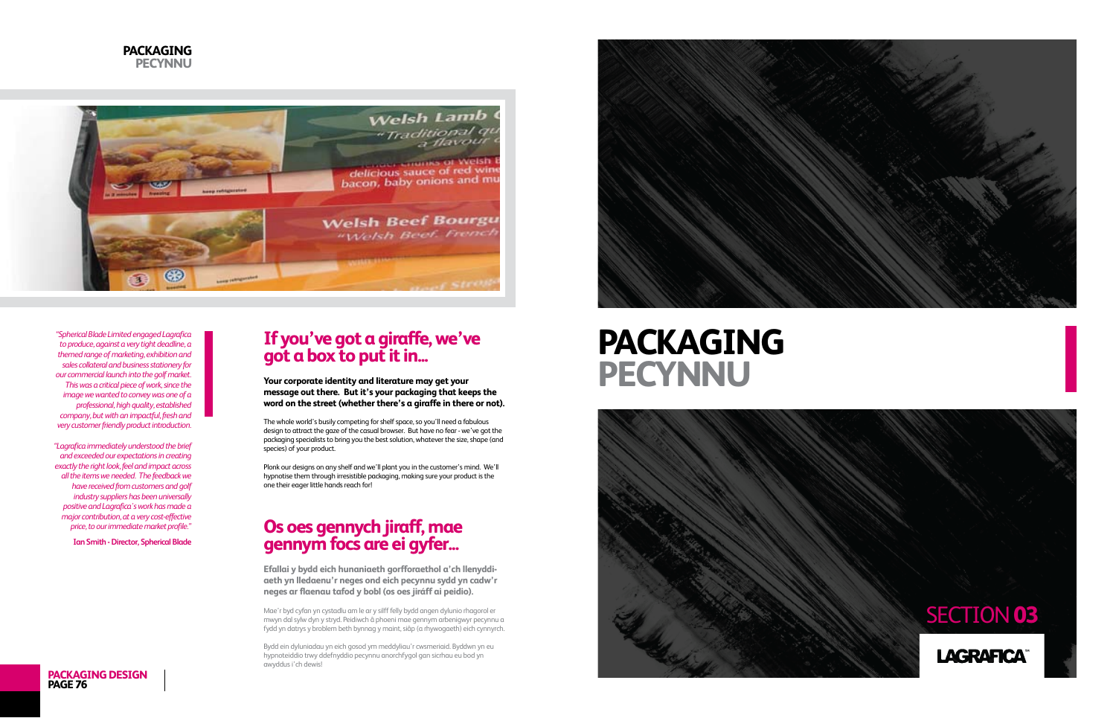



## **If you've got a giraffe, we've got a box to put it in...**

**Your corporate identity and literature may get your message out there. But it's your packaging that keeps the word on the street (whether there's a giraffe in there or not).**

The whole world's busily competing for shelf space, so you'll need a fabulous design to attract the gaze of the casual browser. But have no fear - we've got the packaging specialists to bring you the best solution, whatever the size, shape (and species) of your product.

Plonk our designs on any shelf and we'll plant you in the customer's mind. We'll hypnotise them through irresistible packaging, making sure your product is the one their eager little hands reach for!

## **Os oes gennych jiraff, mae gennym focs are ei gyfer...**

**Efallai y bydd eich hunaniaeth gorfforaethol a'ch llenyddiaeth yn lledaenu'r neges ond eich pecynnu sydd yn cadw'r neges ar flaenau tafod y bobl (os oes jiráff ai peidio).**

Mae'r byd cyfan yn cystadlu am le ar y silff felly bydd angen dylunio rhagorol er mwyn dal sylw dyn y stryd. Peidiwch â phoeni mae gennym arbenigwyr pecynnu a fydd yn datrys y broblem beth bynnag y maint, siâp (a rhywogaeth) eich cynnyrch.

Bydd ein dyluniadau yn eich gosod ym meddyliau'r cwsmeriaid. Byddwn yn eu hypnoteiddio trwy ddefnyddio pecynnu anorchfygol gan sicrhau eu bod yn awyddus i'ch dewis!





*"Spherical Blade Limited engaged Lagrafica to produce, against a very tight deadline, a themed range of marketing, exhibition and sales collateral and business stationery for our commercial launch into the golf market. This was a critical piece of work, since the image we wanted to convey was one of a professional, high quality, established company, but with an impactful, fresh and very customer friendly product introduction.*

*"Lagrafica immediately understood the brief and exceeded our expectations in creating exactly the right look, feel and impact across all the items we needed. The feedback we have received from customers and golf industry suppliers has been universally positive and Lagrafica's work has made a major contribution, at a very cost-effective price, to our immediate market profile."*

**Ian Smith - Director, Spherical Blade**



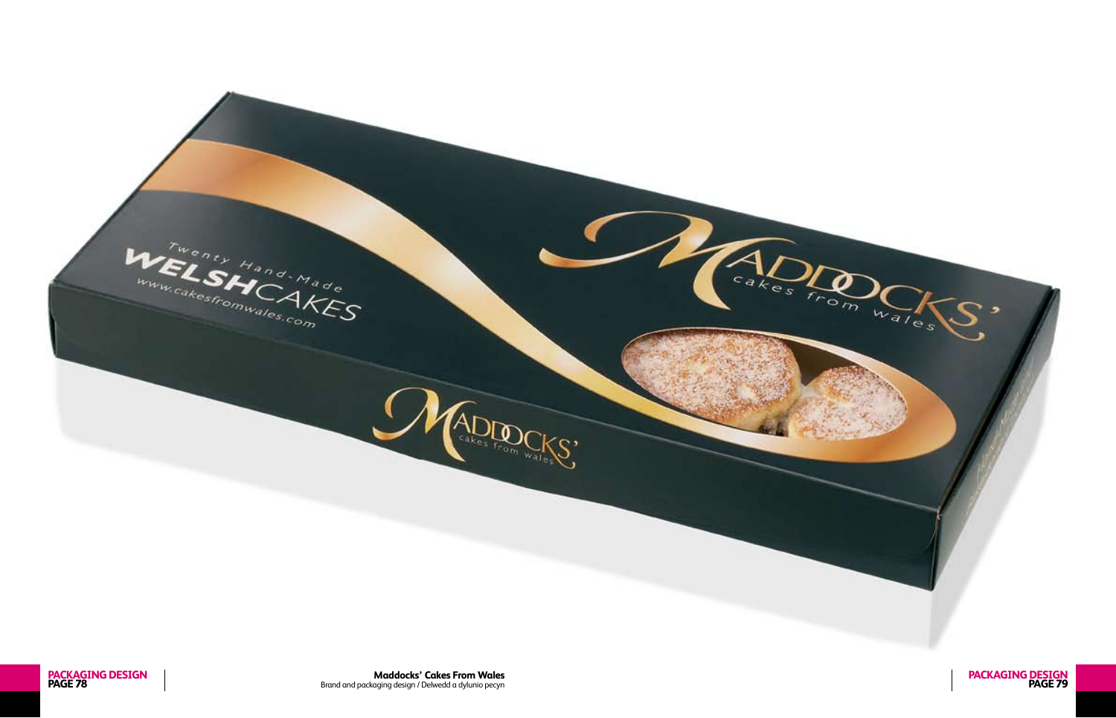

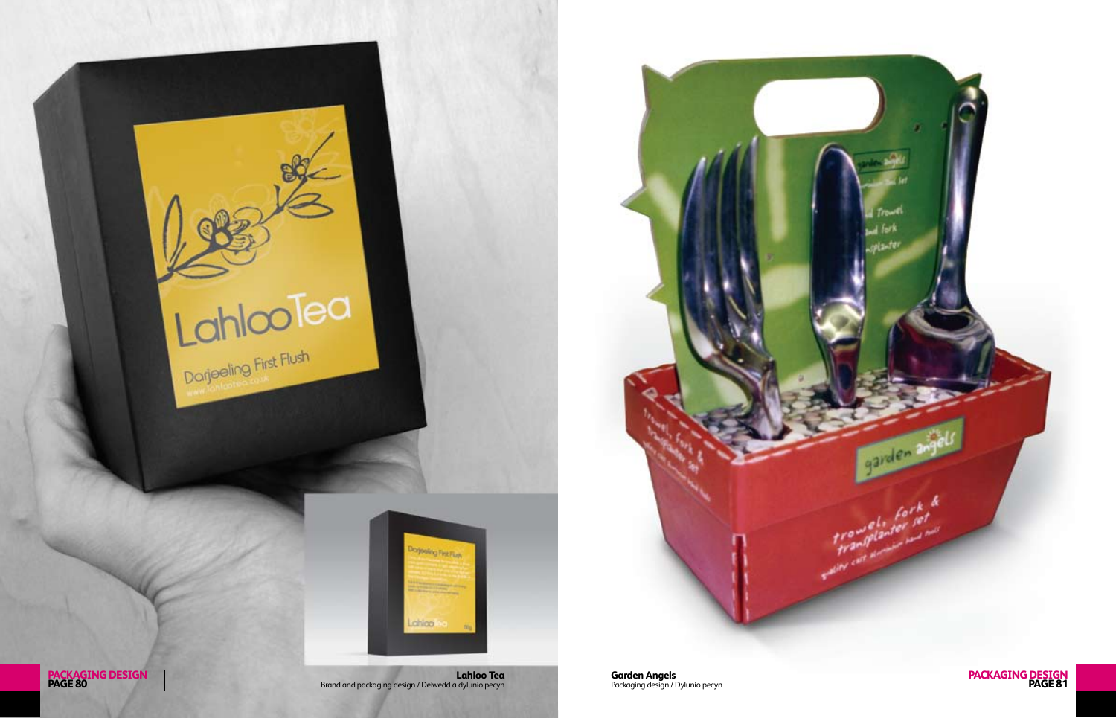



**PACKAGING DESIGN<br>PAGE 80** 

**PAGE 80** Brand and packaging design / Delwedd a dylunio pecyn

chloa

Packaging design / Dylunio pecyn **PAGE 81 Garden Angels PACKAGING DESIGN**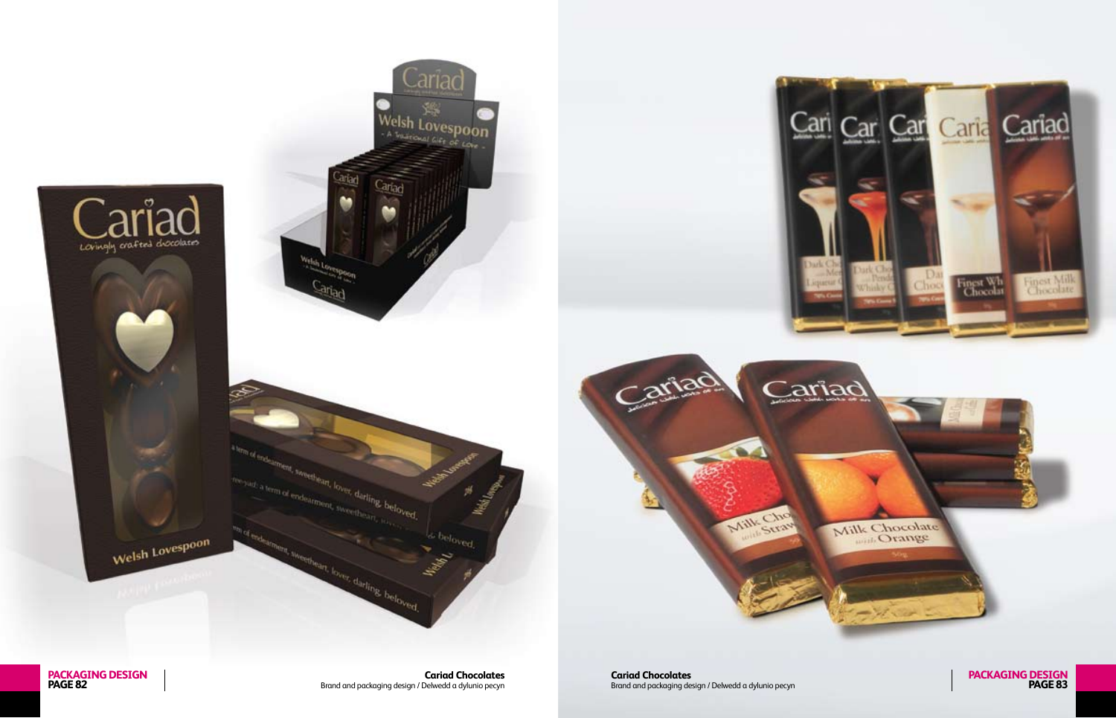

**PACKAGING DESIGN<br>PAGE 82** 

**Cariad Chocolates**<br>Brand and packaging design / Delwedd a dylunio pecyn

**Cariad Chocolates**<br>Brand and packaging design / Delwedd a dylunio pecyn

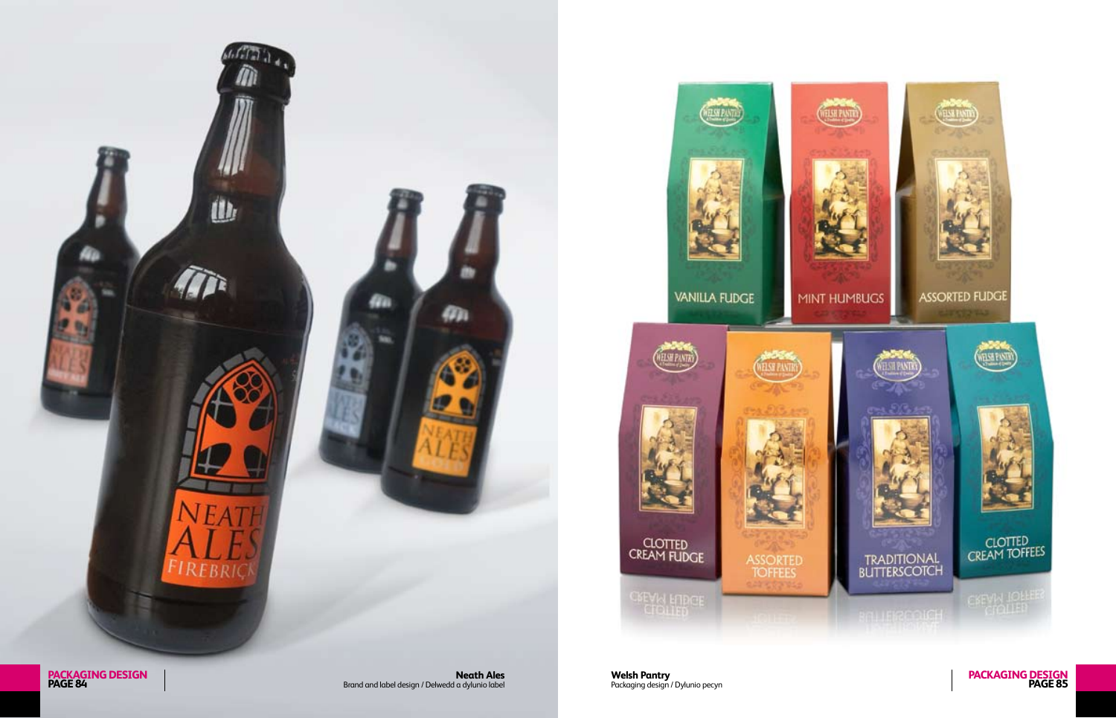**PAGE 84** Brand and label design / Delwedd a dylunio label





**DESPA** 

ASSORTED<br>TOFFEES

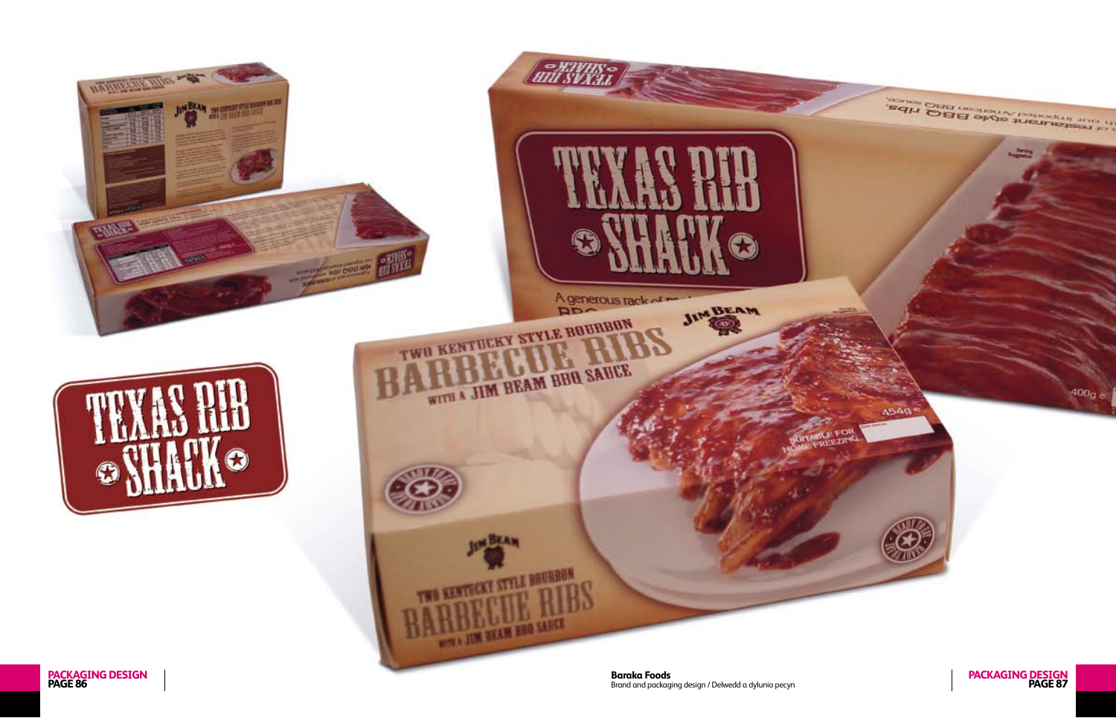

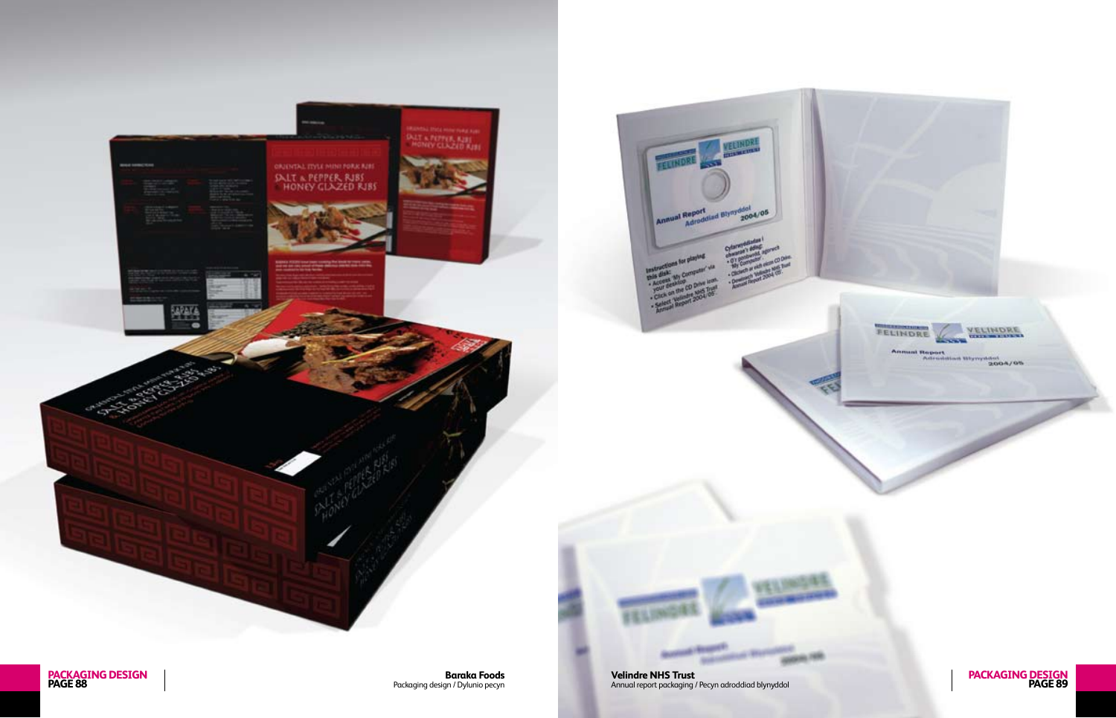**PAGE 88** Packaging design / Dylunio pecyn

**PACKAGING DESIGN Baraka Foods**



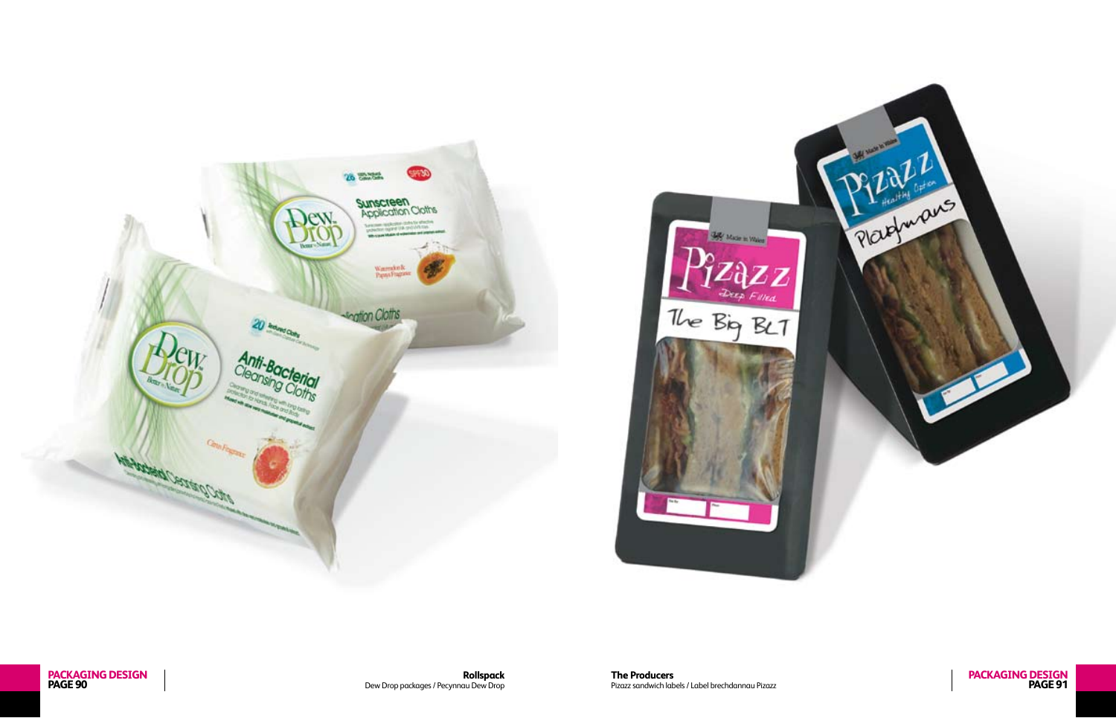